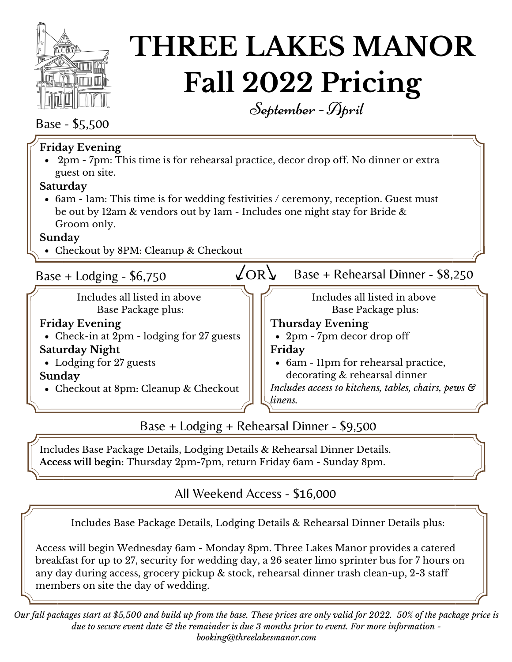

# **THREE LAKES MANOR Fall 2022 Pricing** September- April

Base - \$5,500

| <b>Friday Evening</b><br>• 2pm - 7pm: This time is for rehearsal practice, decor drop off. No dinner or extra<br>guest on site.                                                 |                                                                |
|---------------------------------------------------------------------------------------------------------------------------------------------------------------------------------|----------------------------------------------------------------|
| Saturday                                                                                                                                                                        |                                                                |
| • 6am - 1am: This time is for wedding festivities / ceremony, reception. Guest must<br>be out by 12am & vendors out by 1am - Includes one night stay for Bride &<br>Groom only. |                                                                |
| Sunday                                                                                                                                                                          |                                                                |
| • Checkout by 8PM: Cleanup & Checkout                                                                                                                                           |                                                                |
| Base + Lodging - $$6,750$                                                                                                                                                       | $\angle$ OR $\gamma$<br>Base + Rehearsal Dinner - \$8,250      |
| Includes all listed in above<br>Base Package plus:                                                                                                                              | Includes all listed in above<br>Base Package plus:             |
| <b>Friday Evening</b>                                                                                                                                                           | <b>Thursday Evening</b>                                        |
| • Check-in at 2pm - lodging for 27 guests                                                                                                                                       | • $2pm - 7pm$ decordrop off                                    |
| <b>Saturday Night</b>                                                                                                                                                           | Friday                                                         |
| • Lodging for 27 guests                                                                                                                                                         | • 6am - 11pm for rehearsal practice,                           |
| Sunday                                                                                                                                                                          | decorating & rehearsal dinner                                  |
| • Checkout at 8pm: Cleanup & Checkout                                                                                                                                           | Includes access to kitchens, tables, chairs, pews &<br>linens. |
|                                                                                                                                                                                 |                                                                |

Base + Lodging + Rehearsal Dinner - \$9,500

Includes Base Package Details, Lodging Details & Rehearsal Dinner Details. **Access will begin:** Thursday 2pm-7pm, return Friday 6am - Sunday 8pm.

# All Weekend Access - \$16,000

Includes Base Package Details, Lodging Details & Rehearsal Dinner Details plus:

Access will begin Wednesday 6am - Monday 8pm. Three Lakes Manor provides a catered breakfast for up to 27, security for wedding day, a 26 seater limo sprinter bus for 7 hours on any day during access, grocery pickup & stock, rehearsal dinner trash clean-up, 2-3 staff members on site the day of wedding.

Our fall packages start at \$5,500 and build up from the base. These prices are only valid for 2022. 50% of the package price is due to secure event date  $\mathfrak{S}$  the remainder is due 3 months prior to event. For more information *booking@threelakesmanor.com*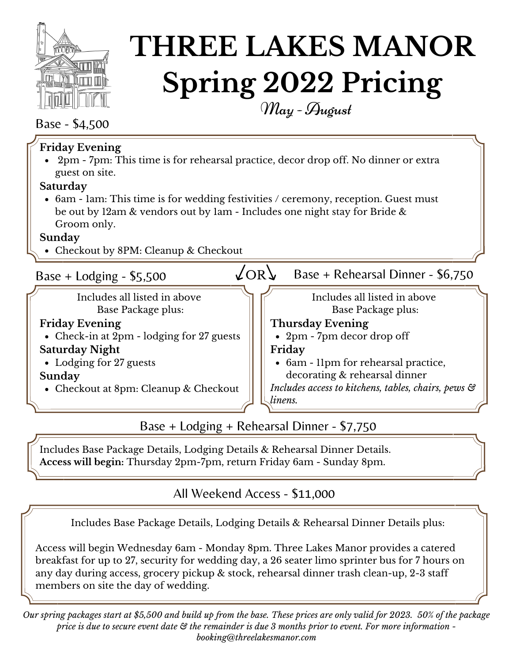

# **THREE LAKES MANOR Spring 2022 Pricing** May- August

### Base - \$4,500

| <b>Friday Evening</b><br>• 2pm - 7pm: This time is for rehearsal practice, decor drop off. No dinner or extra<br>guest on site.<br>Saturday<br>• 6am - 1am: This time is for wedding festivities / ceremony, reception. Guest must<br>be out by 12am & vendors out by 1am - Includes one night stay for Bride &<br>Groom only. |                                                                                                                                                                                                                                                                  |
|--------------------------------------------------------------------------------------------------------------------------------------------------------------------------------------------------------------------------------------------------------------------------------------------------------------------------------|------------------------------------------------------------------------------------------------------------------------------------------------------------------------------------------------------------------------------------------------------------------|
| Sunday<br>• Checkout by 8PM: Cleanup & Checkout                                                                                                                                                                                                                                                                                |                                                                                                                                                                                                                                                                  |
| Base + Lodging - $$5,500$                                                                                                                                                                                                                                                                                                      | 'OR<br>Base + Rehearsal Dinner - \$6,750                                                                                                                                                                                                                         |
| Includes all listed in above<br>Base Package plus:<br><b>Friday Evening</b><br>• Check-in at 2pm - lodging for 27 guests<br><b>Saturday Night</b><br>• Lodging for 27 guests<br>Sunday<br>• Checkout at 8pm: Cleanup & Checkout                                                                                                | Includes all listed in above<br>Base Package plus:<br><b>Thursday Evening</b><br>• 2pm - 7pm decor drop off<br>Friday<br>• 6am - 11pm for rehearsal practice,<br>decorating & rehearsal dinner<br>Includes access to kitchens, tables, chairs, pews &<br>linens. |

Base + Lodging + Rehearsal Dinner - \$7,750

Includes Base Package Details, Lodging Details & Rehearsal Dinner Details. **Access will begin:** Thursday 2pm-7pm, return Friday 6am - Sunday 8pm.

## All Weekend Access - \$11,000

Includes Base Package Details, Lodging Details & Rehearsal Dinner Details plus:

Access will begin Wednesday 6am - Monday 8pm. Three Lakes Manor provides a catered breakfast for up to 27, security for wedding day, a 26 seater limo sprinter bus for 7 hours on any day during access, grocery pickup & stock, rehearsal dinner trash clean-up, 2-3 staff members on site the day of wedding.

Our spring packages start at \$5,500 and build up from the base. These prices are only valid for 2023. 50% of the package price is due to secure event date  $\mathfrak{S}$  the remainder is due 3 months prior to event. For more information *booking@threelakesmanor.com*